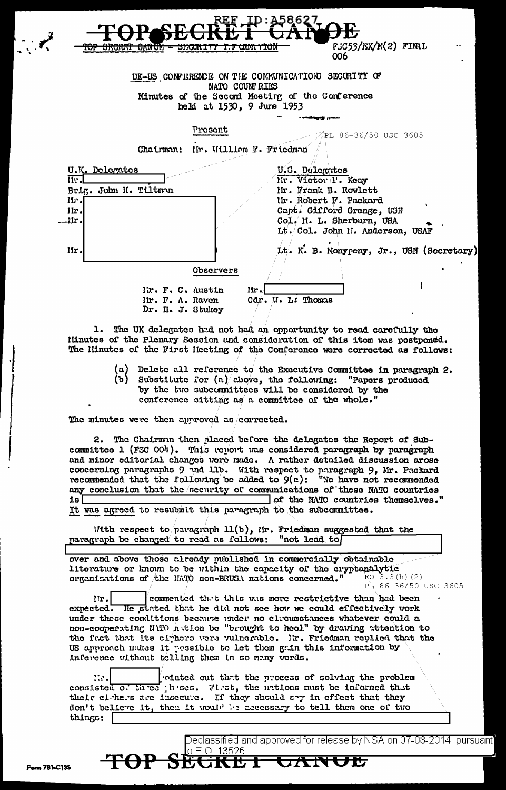| 7<br><del>iop skchei</del> | REF<br><del>SEQUELTY I.P QUA TION</del><br><u>UMO11 – </u> | A58627<br>$FJG53/EX/K(2)$ FINAL<br>006                                                                                                     |
|----------------------------|------------------------------------------------------------|--------------------------------------------------------------------------------------------------------------------------------------------|
|                            | NATO COUNTRIES<br>held at 1530, 9 June 1953                | UK-US CONFERENCE ON THE COMMUNICATIONS SECURITY OF<br>Minutes of the Secord Moeting of the Conference                                      |
|                            | Present                                                    | PL 86-36/50 USC 3605                                                                                                                       |
|                            | Chairman: Nr. William F. Friedman                          |                                                                                                                                            |
| U.K. Delegates<br>II.      |                                                            | U.S. Delegates<br>Mr. Victor P. Keay                                                                                                       |
| lb.<br>lir.<br>.ir.        | Brig. John H. Tiltman                                      | Iir. Frank B. Rowlett<br>Nr. Robert F. Packard<br>Capt. Gifford Grange, USN<br>Col. I. L. Sherburn, USA<br>Lt. Col. John M. Anderson, USAF |
| lir.                       |                                                            | Lt. K. B. Monypeny, Jr., USN (Secretary)                                                                                                   |
|                            | Observers                                                  |                                                                                                                                            |
|                            | Kr. F. C. Austin<br>Mr. F. A. Raven<br>Dr. II. J. Stukey   | lir.<br>Cdr. W. L: Thomas                                                                                                                  |

1. The UK delegates had not had an opportunity to read carefully the Hinutes of the Plenary Session and consideration of this item was postponed. The Hinutes of the First Heeting of the Conference were corrected as follows:

- $(a)$ Delete all reference to the Executive Committee in paragraph 2. Substitute for  $\left(\frac{n}{2}\right)$  above, the following: "Papers produced (ъ)
	- by the two subcommittees will be considered by the conference sitting as a committee of the whole.

The minutes were then epproved as corrected.

2. The Chairman then placed before the delegates the Report of Subcommittee 1 (FSC 004). This report was considered paragraph by paragraph and minor editorial changes were made. A rather detailed discussion arose concerning paragraphs  $9$  and  $115$ . With respect to paragraph  $9$ , Mr. Packard recommended that the following be added to  $9(c)$ : "We have not recommended any conclusion that the necurity of communications of these NATO countries of the NATO countries themselves." is I It was agreed to resubmit this paragraph to the subcommittee.

With respect to paragraph  $11(b)$ , Mr. Friedman suggested that the "not lead to paragraph be changed to read as follows:

over and above those already published in commercially obtainable literature or known to be within the capacity of the cryptanalytic EO  $3.3(h)$  (2) organizations of the HATO non-BRUSA nations concerned."

PL 86-36/50 USC 3605

commented that this was more restrictive than had been  $\ln l$ expected. He stated that he did not see how we could effectively work under these conditions because under no clicumstances whatever could a non-cooperating NMD in tion be "brought to heel" by drawing attention to the fact that its climbers were vulnerable. In. Friedman replied that the US approach mukes it possible to let them gain this information by inference without telling them in so many words.

 $\mathcal{L}$ rinted out that the process of solving the problem consisted of three threes. First, the nations must be informed that their cirkers are insecute. If they should eny in effect that they don't believe it, then it would be necessary to tell them one of two things:

o E.O. 13526

**SEGKET** 

Declassified and approved for release by NSA on 07-08-2014 pursuant

**JA** 

TOP